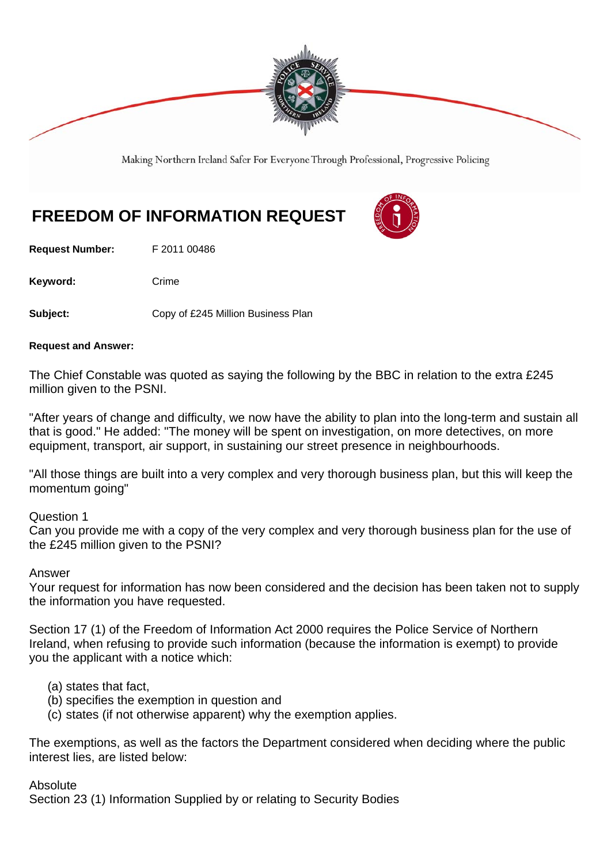

Making Northern Ireland Safer For Everyone Through Professional, Progressive Policing

# **FREEDOM OF INFORMATION REQUEST**

**Request Number:** F 2011 00486

Keyword: Crime

**Subject:** Copy of £245 Million Business Plan

#### **Request and Answer:**

The Chief Constable was quoted as saying the following by the BBC in relation to the extra £245 million given to the PSNI.

"After years of change and difficulty, we now have the ability to plan into the long-term and sustain all that is good." He added: "The money will be spent on investigation, on more detectives, on more equipment, transport, air support, in sustaining our street presence in neighbourhoods.

"All those things are built into a very complex and very thorough business plan, but this will keep the momentum going"

Question 1

Can you provide me with a copy of the very complex and very thorough business plan for the use of the £245 million given to the PSNI?

### Answer

Your request for information has now been considered and the decision has been taken not to supply the information you have requested.

Section 17 (1) of the Freedom of Information Act 2000 requires the Police Service of Northern Ireland, when refusing to provide such information (because the information is exempt) to provide you the applicant with a notice which:

- (a) states that fact,
- (b) specifies the exemption in question and
- (c) states (if not otherwise apparent) why the exemption applies.

The exemptions, as well as the factors the Department considered when deciding where the public interest lies, are listed below:

#### Absolute

Section 23 (1) Information Supplied by or relating to Security Bodies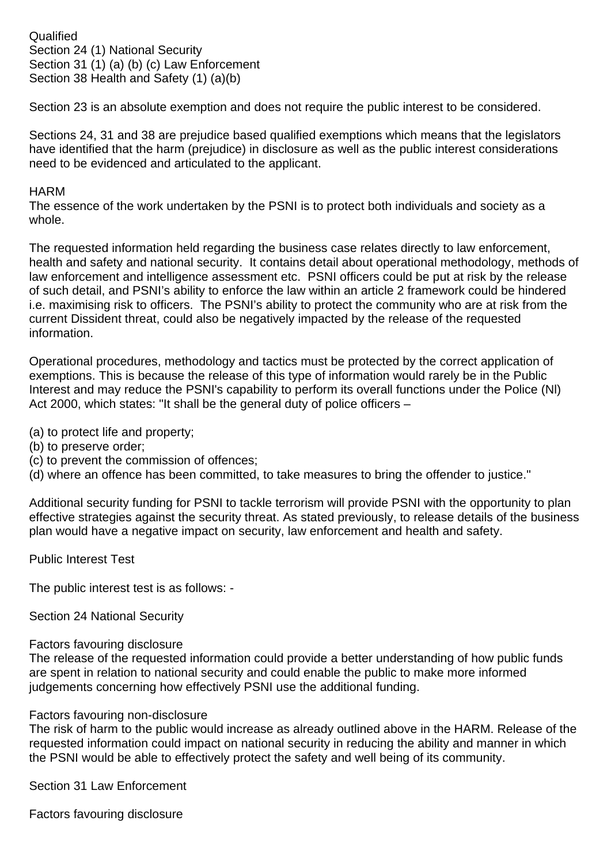**Qualified** Section 24 (1) National Security Section 31 (1) (a) (b) (c) Law Enforcement Section 38 Health and Safety (1) (a)(b)

Section 23 is an absolute exemption and does not require the public interest to be considered.

Sections 24, 31 and 38 are prejudice based qualified exemptions which means that the legislators have identified that the harm (prejudice) in disclosure as well as the public interest considerations need to be evidenced and articulated to the applicant.

## **HARM**

The essence of the work undertaken by the PSNI is to protect both individuals and society as a whole.

The requested information held regarding the business case relates directly to law enforcement, health and safety and national security. It contains detail about operational methodology, methods of law enforcement and intelligence assessment etc. PSNI officers could be put at risk by the release of such detail, and PSNI's ability to enforce the law within an article 2 framework could be hindered i.e. maximising risk to officers. The PSNI's ability to protect the community who are at risk from the current Dissident threat, could also be negatively impacted by the release of the requested information.

Operational procedures, methodology and tactics must be protected by the correct application of exemptions. This is because the release of this type of information would rarely be in the Public Interest and may reduce the PSNI's capability to perform its overall functions under the Police (Nl) Act 2000, which states: "It shall be the general duty of police officers –

(a) to protect life and property;

- (b) to preserve order;
- (c) to prevent the commission of offences;
- (d) where an offence has been committed, to take measures to bring the offender to justice."

Additional security funding for PSNI to tackle terrorism will provide PSNI with the opportunity to plan effective strategies against the security threat. As stated previously, to release details of the business plan would have a negative impact on security, law enforcement and health and safety.

Public Interest Test

The public interest test is as follows: -

Section 24 National Security

### Factors favouring disclosure

The release of the requested information could provide a better understanding of how public funds are spent in relation to national security and could enable the public to make more informed judgements concerning how effectively PSNI use the additional funding.

### Factors favouring non-disclosure

The risk of harm to the public would increase as already outlined above in the HARM. Release of the requested information could impact on national security in reducing the ability and manner in which the PSNI would be able to effectively protect the safety and well being of its community.

Section 31 Law Enforcement

Factors favouring disclosure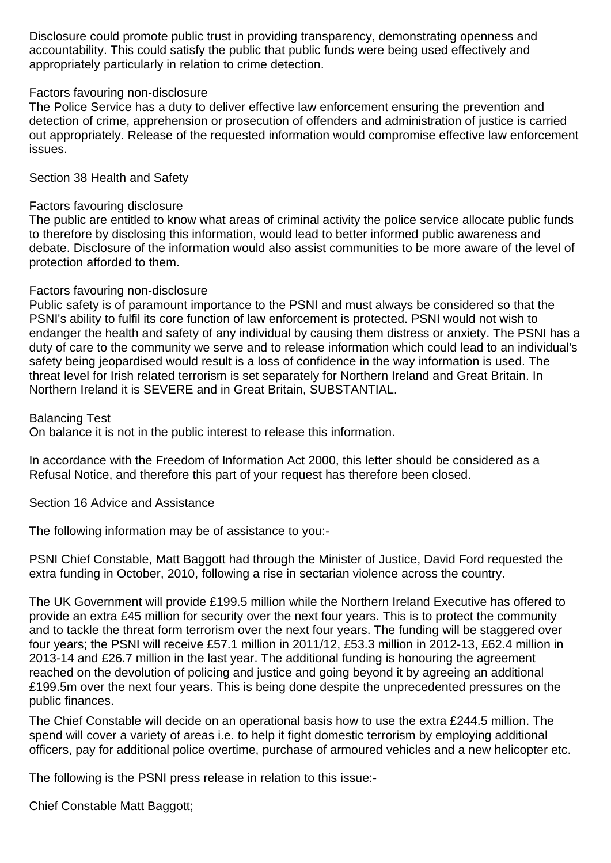Disclosure could promote public trust in providing transparency, demonstrating openness and accountability. This could satisfy the public that public funds were being used effectively and appropriately particularly in relation to crime detection.

## Factors favouring non-disclosure

The Police Service has a duty to deliver effective law enforcement ensuring the prevention and detection of crime, apprehension or prosecution of offenders and administration of justice is carried out appropriately. Release of the requested information would compromise effective law enforcement issues.

Section 38 Health and Safety

# Factors favouring disclosure

The public are entitled to know what areas of criminal activity the police service allocate public funds to therefore by disclosing this information, would lead to better informed public awareness and debate. Disclosure of the information would also assist communities to be more aware of the level of protection afforded to them.

# Factors favouring non-disclosure

Public safety is of paramount importance to the PSNI and must always be considered so that the PSNI's ability to fulfil its core function of law enforcement is protected. PSNI would not wish to endanger the health and safety of any individual by causing them distress or anxiety. The PSNI has a duty of care to the community we serve and to release information which could lead to an individual's safety being jeopardised would result is a loss of confidence in the way information is used. The threat level for Irish related terrorism is set separately for Northern Ireland and Great Britain. In Northern Ireland it is SEVERE and in Great Britain, SUBSTANTIAL.

Balancing Test

On balance it is not in the public interest to release this information.

In accordance with the Freedom of Information Act 2000, this letter should be considered as a Refusal Notice, and therefore this part of your request has therefore been closed.

Section 16 Advice and Assistance

The following information may be of assistance to you:-

PSNI Chief Constable, Matt Baggott had through the Minister of Justice, David Ford requested the extra funding in October, 2010, following a rise in sectarian violence across the country.

The UK Government will provide £199.5 million while the Northern Ireland Executive has offered to provide an extra £45 million for security over the next four years. This is to protect the community and to tackle the threat form terrorism over the next four years. The funding will be staggered over four years; the PSNI will receive £57.1 million in 2011/12, £53.3 million in 2012-13, £62.4 million in 2013-14 and £26.7 million in the last year. The additional funding is honouring the agreement reached on the devolution of policing and justice and going beyond it by agreeing an additional £199.5m over the next four years. This is being done despite the unprecedented pressures on the public finances.

The Chief Constable will decide on an operational basis how to use the extra £244.5 million. The spend will cover a variety of areas i.e. to help it fight domestic terrorism by employing additional officers, pay for additional police overtime, purchase of armoured vehicles and a new helicopter etc.

The following is the PSNI press release in relation to this issue:-

Chief Constable Matt Baggott;